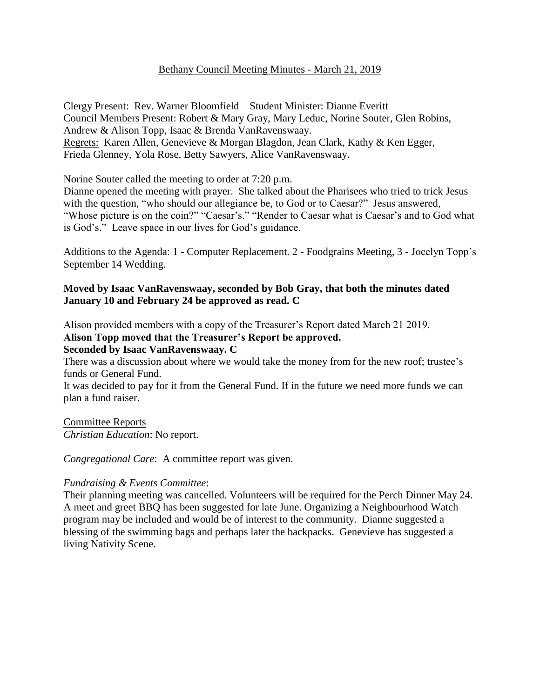## Bethany Council Meeting Minutes - March 21, 2019

Clergy Present: Rev. Warner Bloomfield Student Minister: Dianne Everitt Council Members Present: Robert & Mary Gray, Mary Leduc, Norine Souter, Glen Robins, Andrew & Alison Topp, Isaac & Brenda VanRavenswaay. Regrets: Karen Allen, Genevieve & Morgan Blagdon, Jean Clark, Kathy & Ken Egger, Frieda Glenney, Yola Rose, Betty Sawyers, Alice VanRavenswaay.

Norine Souter called the meeting to order at 7:20 p.m.

Dianne opened the meeting with prayer. She talked about the Pharisees who tried to trick Jesus with the question, "who should our allegiance be, to God or to Caesar?" Jesus answered, "Whose picture is on the coin?" "Caesar's." "Render to Caesar what is Caesar's and to God what is God's." Leave space in our lives for God's guidance.

Additions to the Agenda: 1 - Computer Replacement. 2 - Foodgrains Meeting, 3 - Jocelyn Topp's September 14 Wedding.

## **Moved by Isaac VanRavenswaay, seconded by Bob Gray, that both the minutes dated January 10 and February 24 be approved as read. C**

Alison provided members with a copy of the Treasurer's Report dated March 21 2019.

# **Alison Topp moved that the Treasurer's Report be approved.**

## **Seconded by Isaac VanRavenswaay. C**

There was a discussion about where we would take the money from for the new roof; trustee's funds or General Fund.

It was decided to pay for it from the General Fund. If in the future we need more funds we can plan a fund raiser.

Committee Reports *Christian Education*: No report.

*Congregational Care*: A committee report was given.

### *Fundraising & Events Committee*:

Their planning meeting was cancelled. Volunteers will be required for the Perch Dinner May 24. A meet and greet BBQ has been suggested for late June. Organizing a Neighbourhood Watch program may be included and would be of interest to the community. Dianne suggested a blessing of the swimming bags and perhaps later the backpacks. Genevieve has suggested a living Nativity Scene.